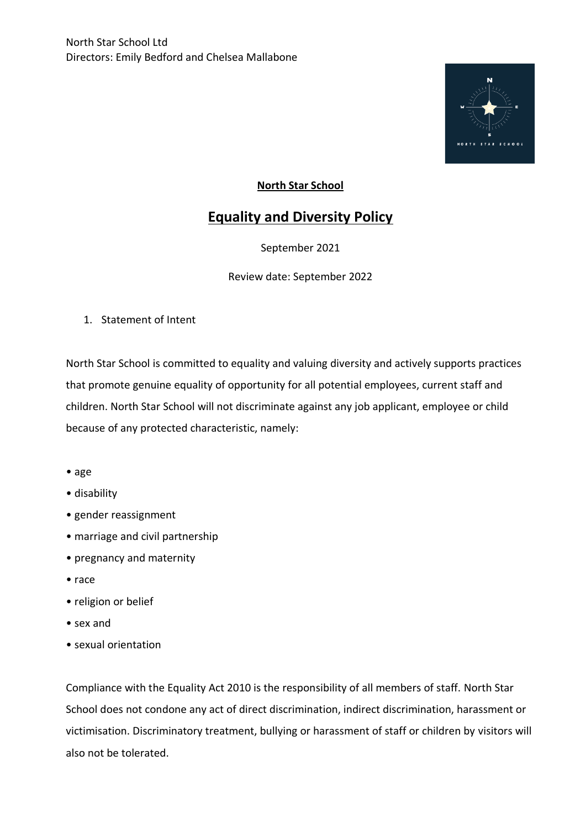

## **North Star School**

## **Equality and Diversity Policy**

September 2021

Review date: September 2022

1. Statement of Intent

North Star School is committed to equality and valuing diversity and actively supports practices that promote genuine equality of opportunity for all potential employees, current staff and children. North Star School will not discriminate against any job applicant, employee or child because of any protected characteristic, namely:

- age
- disability
- gender reassignment
- marriage and civil partnership
- pregnancy and maternity
- race
- religion or belief
- sex and
- sexual orientation

Compliance with the Equality Act 2010 is the responsibility of all members of staff. North Star School does not condone any act of direct discrimination, indirect discrimination, harassment or victimisation. Discriminatory treatment, bullying or harassment of staff or children by visitors will also not be tolerated.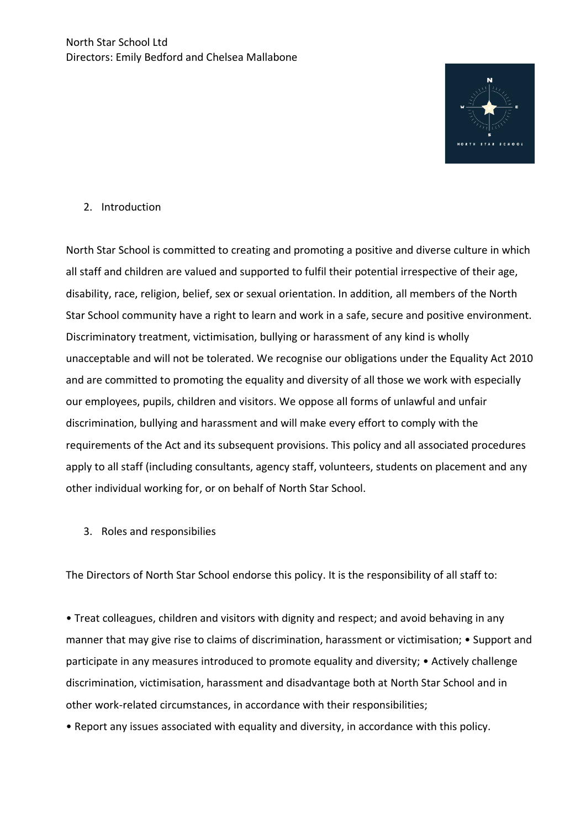

## 2. Introduction

North Star School is committed to creating and promoting a positive and diverse culture in which all staff and children are valued and supported to fulfil their potential irrespective of their age, disability, race, religion, belief, sex or sexual orientation. In addition, all members of the North Star School community have a right to learn and work in a safe, secure and positive environment. Discriminatory treatment, victimisation, bullying or harassment of any kind is wholly unacceptable and will not be tolerated. We recognise our obligations under the Equality Act 2010 and are committed to promoting the equality and diversity of all those we work with especially our employees, pupils, children and visitors. We oppose all forms of unlawful and unfair discrimination, bullying and harassment and will make every effort to comply with the requirements of the Act and its subsequent provisions. This policy and all associated procedures apply to all staff (including consultants, agency staff, volunteers, students on placement and any other individual working for, or on behalf of North Star School.

3. Roles and responsibilies

The Directors of North Star School endorse this policy. It is the responsibility of all staff to:

• Treat colleagues, children and visitors with dignity and respect; and avoid behaving in any manner that may give rise to claims of discrimination, harassment or victimisation; • Support and participate in any measures introduced to promote equality and diversity; • Actively challenge discrimination, victimisation, harassment and disadvantage both at North Star School and in other work-related circumstances, in accordance with their responsibilities;

• Report any issues associated with equality and diversity, in accordance with this policy.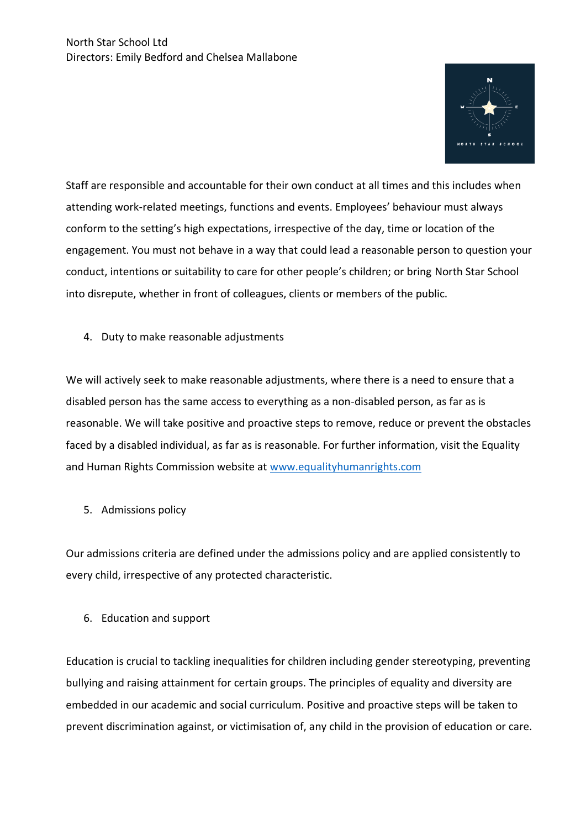

Staff are responsible and accountable for their own conduct at all times and this includes when attending work-related meetings, functions and events. Employees' behaviour must always conform to the setting's high expectations, irrespective of the day, time or location of the engagement. You must not behave in a way that could lead a reasonable person to question your conduct, intentions or suitability to care for other people's children; or bring North Star School into disrepute, whether in front of colleagues, clients or members of the public.

4. Duty to make reasonable adjustments

We will actively seek to make reasonable adjustments, where there is a need to ensure that a disabled person has the same access to everything as a non-disabled person, as far as is reasonable. We will take positive and proactive steps to remove, reduce or prevent the obstacles faced by a disabled individual, as far as is reasonable. For further information, visit the Equality and Human Rights Commission website at [www.equalityhumanrights.com](http://www.equalityhumanrights.com/)

5. Admissions policy

Our admissions criteria are defined under the admissions policy and are applied consistently to every child, irrespective of any protected characteristic.

6. Education and support

Education is crucial to tackling inequalities for children including gender stereotyping, preventing bullying and raising attainment for certain groups. The principles of equality and diversity are embedded in our academic and social curriculum. Positive and proactive steps will be taken to prevent discrimination against, or victimisation of, any child in the provision of education or care.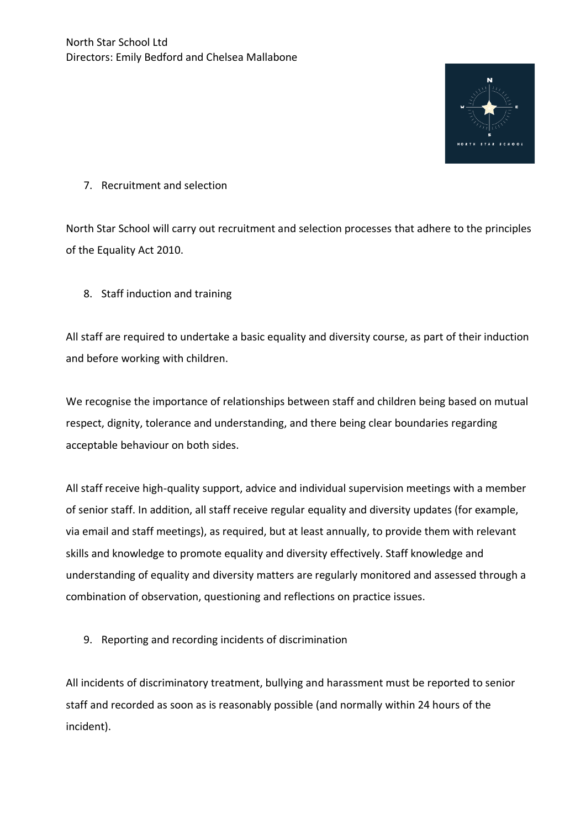

## 7. Recruitment and selection

North Star School will carry out recruitment and selection processes that adhere to the principles of the Equality Act 2010.

8. Staff induction and training

All staff are required to undertake a basic equality and diversity course, as part of their induction and before working with children.

We recognise the importance of relationships between staff and children being based on mutual respect, dignity, tolerance and understanding, and there being clear boundaries regarding acceptable behaviour on both sides.

All staff receive high-quality support, advice and individual supervision meetings with a member of senior staff. In addition, all staff receive regular equality and diversity updates (for example, via email and staff meetings), as required, but at least annually, to provide them with relevant skills and knowledge to promote equality and diversity effectively. Staff knowledge and understanding of equality and diversity matters are regularly monitored and assessed through a combination of observation, questioning and reflections on practice issues.

9. Reporting and recording incidents of discrimination

All incidents of discriminatory treatment, bullying and harassment must be reported to senior staff and recorded as soon as is reasonably possible (and normally within 24 hours of the incident).